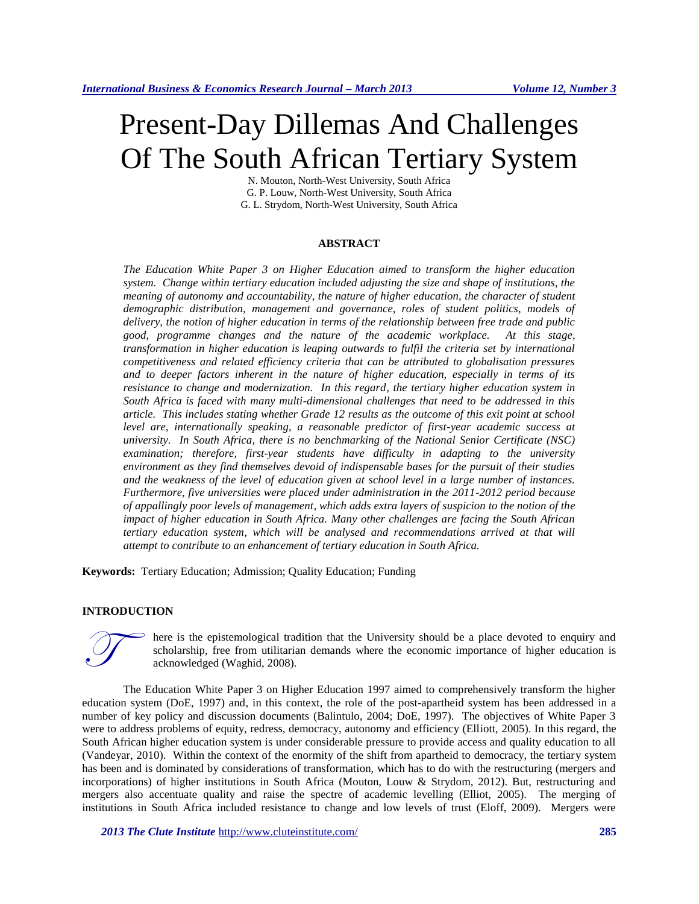# Present-Day Dillemas And Challenges Of The South African Tertiary System

N. Mouton, North-West University, South Africa G. P. Louw, North-West University, South Africa G. L. Strydom, North-West University, South Africa

#### **ABSTRACT**

*The Education White Paper 3 on Higher Education aimed to transform the higher education system. Change within tertiary education included adjusting the size and shape of institutions, the meaning of autonomy and accountability, the nature of higher education, the character of student demographic distribution, management and governance, roles of student politics, models of delivery, the notion of higher education in terms of the relationship between free trade and public good, programme changes and the nature of the academic workplace. At this stage, transformation in higher education is leaping outwards to fulfil the criteria set by international competitiveness and related efficiency criteria that can be attributed to globalisation pressures and to deeper factors inherent in the nature of higher education, especially in terms of its resistance to change and modernization. In this regard, the tertiary higher education system in South Africa is faced with many multi-dimensional challenges that need to be addressed in this article. This includes stating whether Grade 12 results as the outcome of this exit point at school level are, internationally speaking, a reasonable predictor of first-year academic success at university. In South Africa, there is no benchmarking of the National Senior Certificate (NSC) examination; therefore, first-year students have difficulty in adapting to the university environment as they find themselves devoid of indispensable bases for the pursuit of their studies and the weakness of the level of education given at school level in a large number of instances. Furthermore, five universities were placed under administration in the 2011-2012 period because of appallingly poor levels of management, which adds extra layers of suspicion to the notion of the impact of higher education in South Africa. Many other challenges are facing the South African*  tertiary education system, which will be analysed and recommendations arrived at that will *attempt to contribute to an enhancement of tertiary education in South Africa.*

**Keywords:** Tertiary Education; Admission; Quality Education; Funding

## **INTRODUCTION**



here is the epistemological tradition that the University should be a place devoted to enquiry and scholarship, free from utilitarian demands where the economic importance of higher education is acknowledged (Waghid, 2008).

The Education White Paper 3 on Higher Education 1997 aimed to comprehensively transform the higher education system (DoE, 1997) and, in this context, the role of the post-apartheid system has been addressed in a number of key policy and discussion documents (Balintulo, 2004; DoE, 1997). The objectives of White Paper 3 were to address problems of equity, redress, democracy, autonomy and efficiency (Elliott, 2005). In this regard, the South African higher education system is under considerable pressure to provide access and quality education to all (Vandeyar, 2010). Within the context of the enormity of the shift from apartheid to democracy, the tertiary system has been and is dominated by considerations of transformation, which has to do with the restructuring (mergers and incorporations) of higher institutions in South Africa (Mouton, Louw & Strydom, 2012). But, restructuring and mergers also accentuate quality and raise the spectre of academic levelling (Elliot, 2005). The merging of institutions in South Africa included resistance to change and low levels of trust (Eloff, 2009). Mergers were

*2013 The Clute Institute* <http://www.cluteinstitute.com/> **285**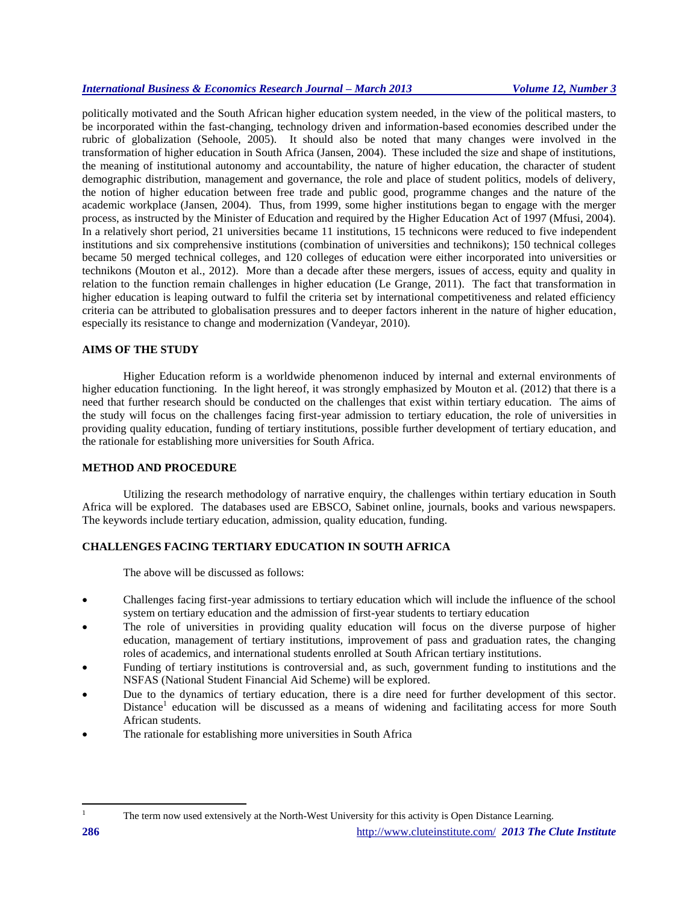politically motivated and the South African higher education system needed, in the view of the political masters, to be incorporated within the fast-changing, technology driven and information-based economies described under the rubric of globalization (Sehoole, 2005). It should also be noted that many changes were involved in the transformation of higher education in South Africa (Jansen, 2004). These included the size and shape of institutions, the meaning of institutional autonomy and accountability, the nature of higher education, the character of student demographic distribution, management and governance, the role and place of student politics, models of delivery, the notion of higher education between free trade and public good, programme changes and the nature of the academic workplace (Jansen, 2004). Thus, from 1999, some higher institutions began to engage with the merger process, as instructed by the Minister of Education and required by the Higher Education Act of 1997 (Mfusi, 2004). In a relatively short period, 21 universities became 11 institutions, 15 technicons were reduced to five independent institutions and six comprehensive institutions (combination of universities and technikons); 150 technical colleges became 50 merged technical colleges, and 120 colleges of education were either incorporated into universities or technikons (Mouton et al., 2012). More than a decade after these mergers, issues of access, equity and quality in relation to the function remain challenges in higher education (Le Grange, 2011). The fact that transformation in higher education is leaping outward to fulfil the criteria set by international competitiveness and related efficiency criteria can be attributed to globalisation pressures and to deeper factors inherent in the nature of higher education, especially its resistance to change and modernization (Vandeyar, 2010).

## **AIMS OF THE STUDY**

Higher Education reform is a worldwide phenomenon induced by internal and external environments of higher education functioning. In the light hereof, it was strongly emphasized by Mouton et al. (2012) that there is a need that further research should be conducted on the challenges that exist within tertiary education. The aims of the study will focus on the challenges facing first-year admission to tertiary education, the role of universities in providing quality education, funding of tertiary institutions, possible further development of tertiary education, and the rationale for establishing more universities for South Africa.

# **METHOD AND PROCEDURE**

Utilizing the research methodology of narrative enquiry, the challenges within tertiary education in South Africa will be explored. The databases used are EBSCO, Sabinet online, journals, books and various newspapers. The keywords include tertiary education, admission, quality education, funding.

# **CHALLENGES FACING TERTIARY EDUCATION IN SOUTH AFRICA**

The above will be discussed as follows:

- Challenges facing first-year admissions to tertiary education which will include the influence of the school system on tertiary education and the admission of first-year students to tertiary education
- The role of universities in providing quality education will focus on the diverse purpose of higher education, management of tertiary institutions, improvement of pass and graduation rates, the changing roles of academics, and international students enrolled at South African tertiary institutions.
- Funding of tertiary institutions is controversial and, as such, government funding to institutions and the NSFAS (National Student Financial Aid Scheme) will be explored.
- Due to the dynamics of tertiary education, there is a dire need for further development of this sector. Distance<sup>1</sup> education will be discussed as a means of widening and facilitating access for more South African students.
- The rationale for establishing more universities in South Africa

 $\overline{\phantom{a}}$ 

The term now used extensively at the North-West University for this activity is Open Distance Learning.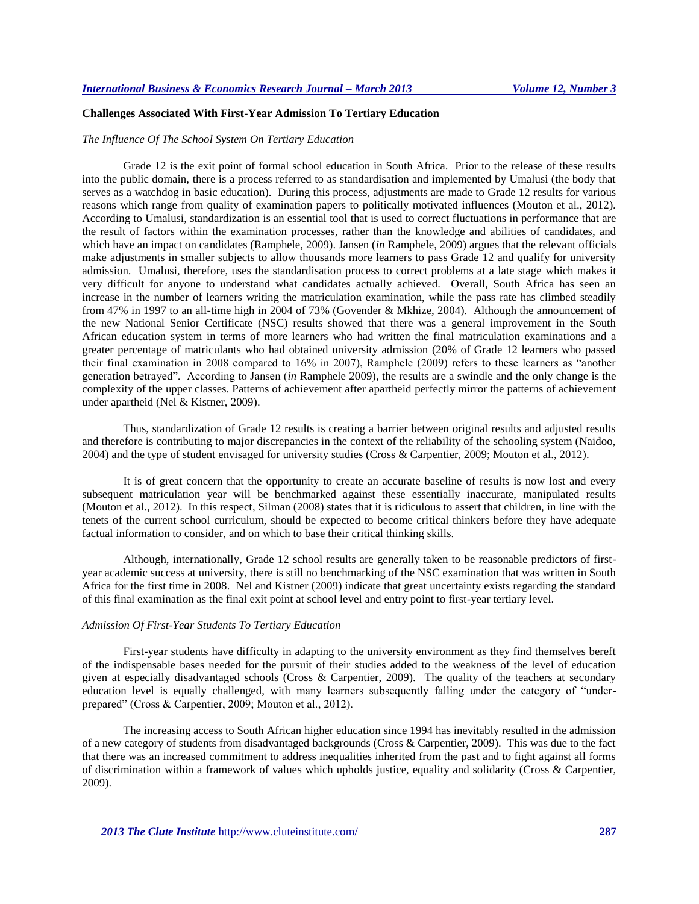# **Challenges Associated With First-Year Admission To Tertiary Education**

## *The Influence Of The School System On Tertiary Education*

Grade 12 is the exit point of formal school education in South Africa. Prior to the release of these results into the public domain, there is a process referred to as standardisation and implemented by Umalusi (the body that serves as a watchdog in basic education). During this process, adjustments are made to Grade 12 results for various reasons which range from quality of examination papers to politically motivated influences (Mouton et al., 2012). According to Umalusi, standardization is an essential tool that is used to correct fluctuations in performance that are the result of factors within the examination processes, rather than the knowledge and abilities of candidates, and which have an impact on candidates (Ramphele, 2009). Jansen (*in* Ramphele, 2009) argues that the relevant officials make adjustments in smaller subjects to allow thousands more learners to pass Grade 12 and qualify for university admission. Umalusi, therefore, uses the standardisation process to correct problems at a late stage which makes it very difficult for anyone to understand what candidates actually achieved. Overall, South Africa has seen an increase in the number of learners writing the matriculation examination, while the pass rate has climbed steadily from 47% in 1997 to an all-time high in 2004 of 73% (Govender & Mkhize, 2004). Although the announcement of the new National Senior Certificate (NSC) results showed that there was a general improvement in the South African education system in terms of more learners who had written the final matriculation examinations and a greater percentage of matriculants who had obtained university admission (20% of Grade 12 learners who passed their final examination in 2008 compared to 16% in 2007), Ramphele (2009) refers to these learners as "another generation betrayed". According to Jansen (*in* Ramphele 2009), the results are a swindle and the only change is the complexity of the upper classes. Patterns of achievement after apartheid perfectly mirror the patterns of achievement under apartheid (Nel & Kistner, 2009).

Thus, standardization of Grade 12 results is creating a barrier between original results and adjusted results and therefore is contributing to major discrepancies in the context of the reliability of the schooling system (Naidoo, 2004) and the type of student envisaged for university studies (Cross & Carpentier, 2009; Mouton et al., 2012).

It is of great concern that the opportunity to create an accurate baseline of results is now lost and every subsequent matriculation year will be benchmarked against these essentially inaccurate, manipulated results (Mouton et al., 2012). In this respect, Silman (2008) states that it is ridiculous to assert that children, in line with the tenets of the current school curriculum, should be expected to become critical thinkers before they have adequate factual information to consider, and on which to base their critical thinking skills.

Although, internationally, Grade 12 school results are generally taken to be reasonable predictors of firstyear academic success at university, there is still no benchmarking of the NSC examination that was written in South Africa for the first time in 2008. Nel and Kistner (2009) indicate that great uncertainty exists regarding the standard of this final examination as the final exit point at school level and entry point to first-year tertiary level.

## *Admission Of First-Year Students To Tertiary Education*

First-year students have difficulty in adapting to the university environment as they find themselves bereft of the indispensable bases needed for the pursuit of their studies added to the weakness of the level of education given at especially disadvantaged schools (Cross & Carpentier, 2009). The quality of the teachers at secondary education level is equally challenged, with many learners subsequently falling under the category of "underprepared" (Cross & Carpentier, 2009; Mouton et al., 2012).

The increasing access to South African higher education since 1994 has inevitably resulted in the admission of a new category of students from disadvantaged backgrounds (Cross & Carpentier, 2009). This was due to the fact that there was an increased commitment to address inequalities inherited from the past and to fight against all forms of discrimination within a framework of values which upholds justice, equality and solidarity (Cross & Carpentier, 2009).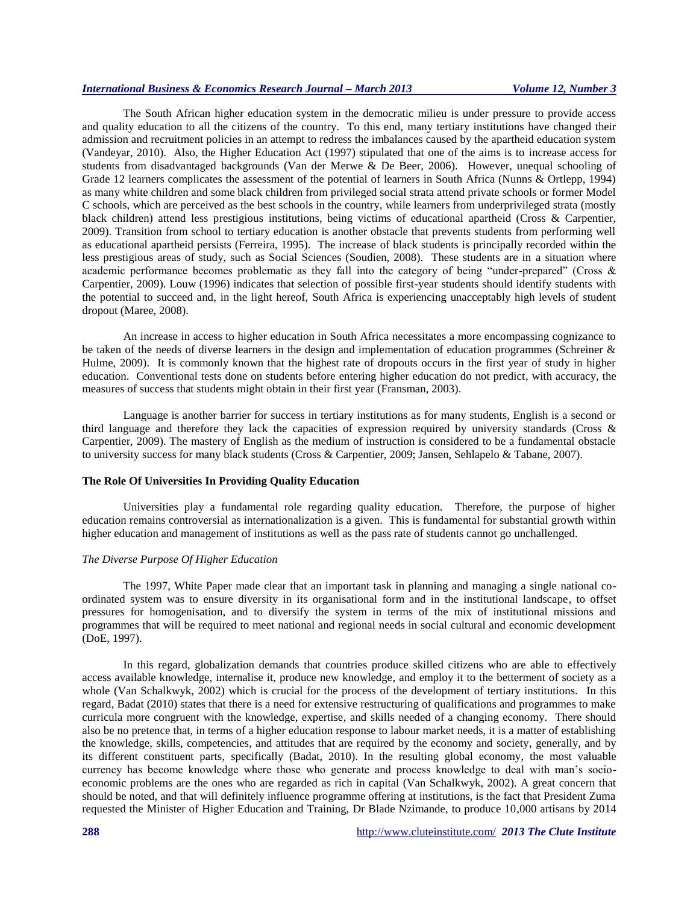The South African higher education system in the democratic milieu is under pressure to provide access and quality education to all the citizens of the country. To this end, many tertiary institutions have changed their admission and recruitment policies in an attempt to redress the imbalances caused by the apartheid education system (Vandeyar, 2010). Also, the Higher Education Act (1997) stipulated that one of the aims is to increase access for students from disadvantaged backgrounds (Van der Merwe & De Beer, 2006). However, unequal schooling of Grade 12 learners complicates the assessment of the potential of learners in South Africa (Nunns & Ortlepp, 1994) as many white children and some black children from privileged social strata attend private schools or former Model C schools, which are perceived as the best schools in the country, while learners from underprivileged strata (mostly black children) attend less prestigious institutions, being victims of educational apartheid (Cross & Carpentier, 2009). Transition from school to tertiary education is another obstacle that prevents students from performing well as educational apartheid persists (Ferreira, 1995). The increase of black students is principally recorded within the less prestigious areas of study, such as Social Sciences (Soudien, 2008). These students are in a situation where academic performance becomes problematic as they fall into the category of being "under-prepared" (Cross & Carpentier, 2009). Louw (1996) indicates that selection of possible first-year students should identify students with the potential to succeed and, in the light hereof, South Africa is experiencing unacceptably high levels of student dropout (Maree, 2008).

An increase in access to higher education in South Africa necessitates a more encompassing cognizance to be taken of the needs of diverse learners in the design and implementation of education programmes (Schreiner & Hulme, 2009). It is commonly known that the highest rate of dropouts occurs in the first year of study in higher education. Conventional tests done on students before entering higher education do not predict, with accuracy, the measures of success that students might obtain in their first year (Fransman, 2003).

Language is another barrier for success in tertiary institutions as for many students, English is a second or third language and therefore they lack the capacities of expression required by university standards (Cross & Carpentier, 2009). The mastery of English as the medium of instruction is considered to be a fundamental obstacle to university success for many black students (Cross & Carpentier, 2009; Jansen, Sehlapelo & Tabane, 2007).

# **The Role Of Universities In Providing Quality Education**

Universities play a fundamental role regarding quality education. Therefore, the purpose of higher education remains controversial as internationalization is a given. This is fundamental for substantial growth within higher education and management of institutions as well as the pass rate of students cannot go unchallenged.

#### *The Diverse Purpose Of Higher Education*

The 1997, White Paper made clear that an important task in planning and managing a single national coordinated system was to ensure diversity in its organisational form and in the institutional landscape, to offset pressures for homogenisation, and to diversify the system in terms of the mix of institutional missions and programmes that will be required to meet national and regional needs in social cultural and economic development (DoE, 1997).

In this regard, globalization demands that countries produce skilled citizens who are able to effectively access available knowledge, internalise it, produce new knowledge, and employ it to the betterment of society as a whole (Van Schalkwyk, 2002) which is crucial for the process of the development of tertiary institutions. In this regard, Badat (2010) states that there is a need for extensive restructuring of qualifications and programmes to make curricula more congruent with the knowledge, expertise, and skills needed of a changing economy. There should also be no pretence that, in terms of a higher education response to labour market needs, it is a matter of establishing the knowledge, skills, competencies, and attitudes that are required by the economy and society, generally, and by its different constituent parts, specifically (Badat, 2010). In the resulting global economy, the most valuable currency has become knowledge where those who generate and process knowledge to deal with man's socioeconomic problems are the ones who are regarded as rich in capital (Van Schalkwyk, 2002). A great concern that should be noted, and that will definitely influence programme offering at institutions, is the fact that President Zuma requested the Minister of Higher Education and Training, Dr Blade Nzimande, to produce 10,000 artisans by 2014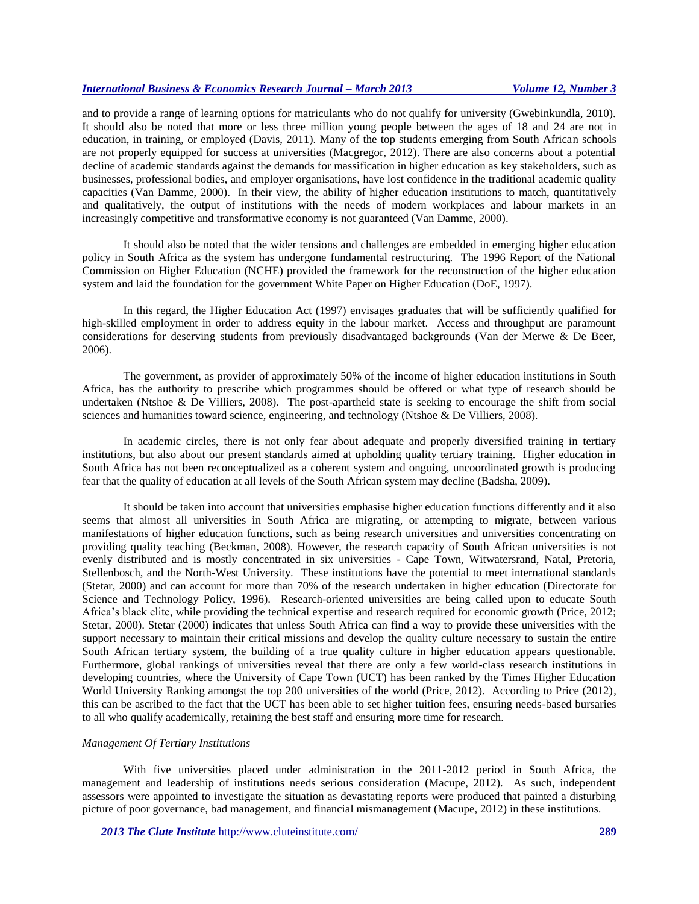and to provide a range of learning options for matriculants who do not qualify for university (Gwebinkundla, 2010). It should also be noted that more or less three million young people between the ages of 18 and 24 are not in education, in training, or employed (Davis, 2011). Many of the top students emerging from South African schools are not properly equipped for success at universities (Macgregor, 2012). There are also concerns about a potential decline of academic standards against the demands for massification in higher education as key stakeholders, such as businesses, professional bodies, and employer organisations, have lost confidence in the traditional academic quality capacities (Van Damme, 2000). In their view, the ability of higher education institutions to match, quantitatively and qualitatively, the output of institutions with the needs of modern workplaces and labour markets in an increasingly competitive and transformative economy is not guaranteed (Van Damme, 2000).

It should also be noted that the wider tensions and challenges are embedded in emerging higher education policy in South Africa as the system has undergone fundamental restructuring. The 1996 Report of the National Commission on Higher Education (NCHE) provided the framework for the reconstruction of the higher education system and laid the foundation for the government White Paper on Higher Education (DoE, 1997).

In this regard, the Higher Education Act (1997) envisages graduates that will be sufficiently qualified for high-skilled employment in order to address equity in the labour market. Access and throughput are paramount considerations for deserving students from previously disadvantaged backgrounds (Van der Merwe & De Beer, 2006).

The government, as provider of approximately 50% of the income of higher education institutions in South Africa, has the authority to prescribe which programmes should be offered or what type of research should be undertaken (Ntshoe & De Villiers, 2008). The post-apartheid state is seeking to encourage the shift from social sciences and humanities toward science, engineering, and technology (Ntshoe & De Villiers, 2008).

In academic circles, there is not only fear about adequate and properly diversified training in tertiary institutions, but also about our present standards aimed at upholding quality tertiary training. Higher education in South Africa has not been reconceptualized as a coherent system and ongoing, uncoordinated growth is producing fear that the quality of education at all levels of the South African system may decline (Badsha, 2009).

It should be taken into account that universities emphasise higher education functions differently and it also seems that almost all universities in South Africa are migrating, or attempting to migrate, between various manifestations of higher education functions, such as being research universities and universities concentrating on providing quality teaching (Beckman, 2008). However, the research capacity of South African universities is not evenly distributed and is mostly concentrated in six universities - Cape Town, Witwatersrand, Natal, Pretoria, Stellenbosch, and the North-West University. These institutions have the potential to meet international standards (Stetar, 2000) and can account for more than 70% of the research undertaken in higher education (Directorate for Science and Technology Policy, 1996). Research-oriented universities are being called upon to educate South Africa's black elite, while providing the technical expertise and research required for economic growth (Price, 2012; Stetar, 2000). Stetar (2000) indicates that unless South Africa can find a way to provide these universities with the support necessary to maintain their critical missions and develop the quality culture necessary to sustain the entire South African tertiary system, the building of a true quality culture in higher education appears questionable. Furthermore, global rankings of universities reveal that there are only a few world-class research institutions in developing countries, where the University of Cape Town (UCT) has been ranked by the Times Higher Education World University Ranking amongst the top 200 universities of the world (Price, 2012). According to Price (2012), this can be ascribed to the fact that the UCT has been able to set higher tuition fees, ensuring needs-based bursaries to all who qualify academically, retaining the best staff and ensuring more time for research.

#### *Management Of Tertiary Institutions*

With five universities placed under administration in the 2011-2012 period in South Africa, the management and leadership of institutions needs serious consideration (Macupe, 2012). As such, independent assessors were appointed to investigate the situation as devastating reports were produced that painted a disturbing picture of poor governance, bad management, and financial mismanagement (Macupe, 2012) in these institutions.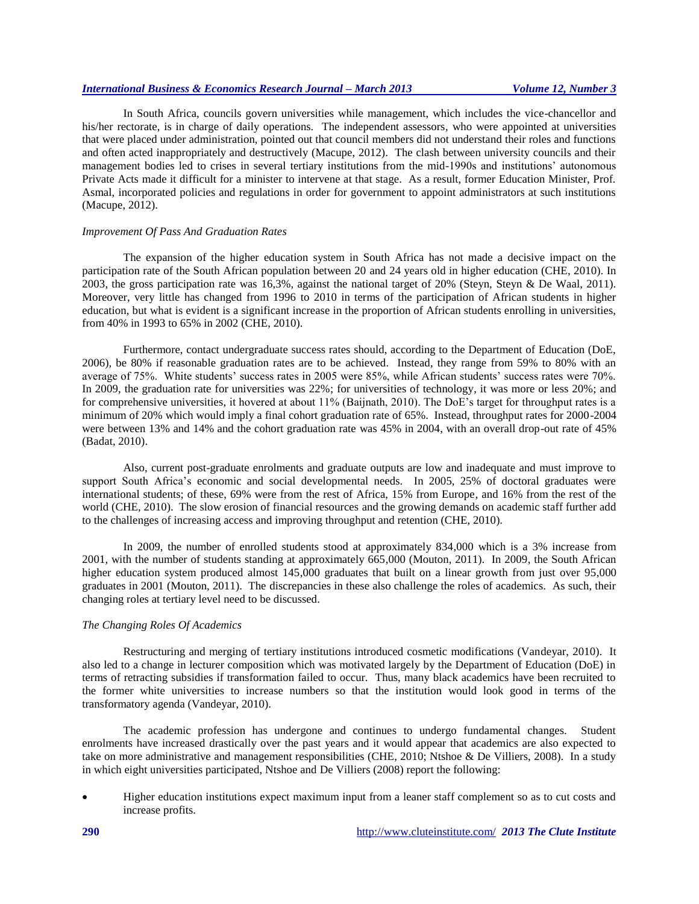In South Africa, councils govern universities while management, which includes the vice-chancellor and his/her rectorate, is in charge of daily operations. The independent assessors, who were appointed at universities that were placed under administration, pointed out that council members did not understand their roles and functions and often acted inappropriately and destructively (Macupe, 2012). The clash between university councils and their management bodies led to crises in several tertiary institutions from the mid-1990s and institutions' autonomous Private Acts made it difficult for a minister to intervene at that stage. As a result, former Education Minister, Prof. Asmal, incorporated policies and regulations in order for government to appoint administrators at such institutions (Macupe, 2012).

#### *Improvement Of Pass And Graduation Rates*

The expansion of the higher education system in South Africa has not made a decisive impact on the participation rate of the South African population between 20 and 24 years old in higher education (CHE, 2010). In 2003, the gross participation rate was 16,3%, against the national target of 20% (Steyn, Steyn & De Waal, 2011). Moreover, very little has changed from 1996 to 2010 in terms of the participation of African students in higher education, but what is evident is a significant increase in the proportion of African students enrolling in universities, from 40% in 1993 to 65% in 2002 (CHE, 2010).

Furthermore, contact undergraduate success rates should, according to the Department of Education (DoE, 2006), be 80% if reasonable graduation rates are to be achieved. Instead, they range from 59% to 80% with an average of 75%. White students' success rates in 2005 were 85%, while African students' success rates were 70%. In 2009, the graduation rate for universities was 22%; for universities of technology, it was more or less 20%; and for comprehensive universities, it hovered at about 11% (Baijnath, 2010). The DoE's target for throughput rates is a minimum of 20% which would imply a final cohort graduation rate of 65%. Instead, throughput rates for 2000-2004 were between 13% and 14% and the cohort graduation rate was 45% in 2004, with an overall drop-out rate of 45% (Badat, 2010).

Also, current post-graduate enrolments and graduate outputs are low and inadequate and must improve to support South Africa's economic and social developmental needs. In 2005, 25% of doctoral graduates were international students; of these, 69% were from the rest of Africa, 15% from Europe, and 16% from the rest of the world (CHE, 2010). The slow erosion of financial resources and the growing demands on academic staff further add to the challenges of increasing access and improving throughput and retention (CHE, 2010).

In 2009, the number of enrolled students stood at approximately 834,000 which is a 3% increase from 2001, with the number of students standing at approximately 665,000 (Mouton, 2011). In 2009, the South African higher education system produced almost 145,000 graduates that built on a linear growth from just over 95,000 graduates in 2001 (Mouton, 2011). The discrepancies in these also challenge the roles of academics. As such, their changing roles at tertiary level need to be discussed.

## *The Changing Roles Of Academics*

Restructuring and merging of tertiary institutions introduced cosmetic modifications (Vandeyar, 2010). It also led to a change in lecturer composition which was motivated largely by the Department of Education (DoE) in terms of retracting subsidies if transformation failed to occur. Thus, many black academics have been recruited to the former white universities to increase numbers so that the institution would look good in terms of the transformatory agenda (Vandeyar, 2010).

The academic profession has undergone and continues to undergo fundamental changes. Student enrolments have increased drastically over the past years and it would appear that academics are also expected to take on more administrative and management responsibilities (CHE, 2010; Ntshoe & De Villiers, 2008). In a study in which eight universities participated, Ntshoe and De Villiers (2008) report the following:

 Higher education institutions expect maximum input from a leaner staff complement so as to cut costs and increase profits.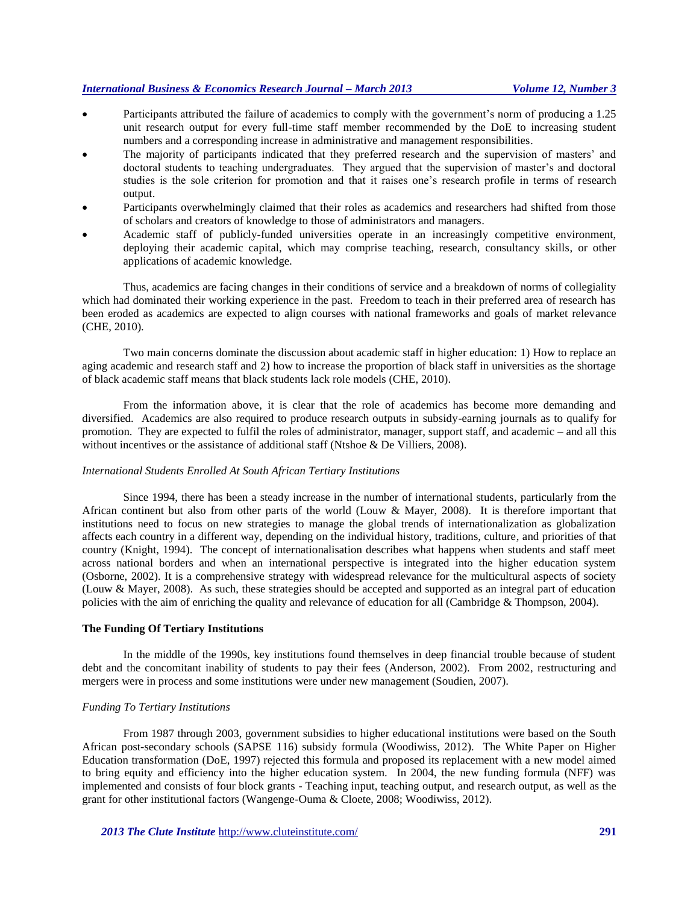- Participants attributed the failure of academics to comply with the government's norm of producing a 1.25 unit research output for every full-time staff member recommended by the DoE to increasing student numbers and a corresponding increase in administrative and management responsibilities.
- The majority of participants indicated that they preferred research and the supervision of masters' and doctoral students to teaching undergraduates. They argued that the supervision of master's and doctoral studies is the sole criterion for promotion and that it raises one's research profile in terms of research output.
- Participants overwhelmingly claimed that their roles as academics and researchers had shifted from those of scholars and creators of knowledge to those of administrators and managers.
- Academic staff of publicly-funded universities operate in an increasingly competitive environment, deploying their academic capital, which may comprise teaching, research, consultancy skills, or other applications of academic knowledge.

Thus, academics are facing changes in their conditions of service and a breakdown of norms of collegiality which had dominated their working experience in the past. Freedom to teach in their preferred area of research has been eroded as academics are expected to align courses with national frameworks and goals of market relevance (CHE, 2010).

Two main concerns dominate the discussion about academic staff in higher education: 1) How to replace an aging academic and research staff and 2) how to increase the proportion of black staff in universities as the shortage of black academic staff means that black students lack role models (CHE, 2010).

From the information above, it is clear that the role of academics has become more demanding and diversified. Academics are also required to produce research outputs in subsidy-earning journals as to qualify for promotion. They are expected to fulfil the roles of administrator, manager, support staff, and academic – and all this without incentives or the assistance of additional staff (Ntshoe & De Villiers, 2008).

## *International Students Enrolled At South African Tertiary Institutions*

Since 1994, there has been a steady increase in the number of international students, particularly from the African continent but also from other parts of the world (Louw & Mayer, 2008). It is therefore important that institutions need to focus on new strategies to manage the global trends of internationalization as globalization affects each country in a different way, depending on the individual history, traditions, culture, and priorities of that country (Knight, 1994). The concept of internationalisation describes what happens when students and staff meet across national borders and when an international perspective is integrated into the higher education system (Osborne, 2002). It is a comprehensive strategy with widespread relevance for the multicultural aspects of society (Louw & Mayer, 2008). As such, these strategies should be accepted and supported as an integral part of education policies with the aim of enriching the quality and relevance of education for all (Cambridge & Thompson, 2004).

#### **The Funding Of Tertiary Institutions**

In the middle of the 1990s, key institutions found themselves in deep financial trouble because of student debt and the concomitant inability of students to pay their fees (Anderson, 2002). From 2002, restructuring and mergers were in process and some institutions were under new management (Soudien, 2007).

## *Funding To Tertiary Institutions*

From 1987 through 2003, government subsidies to higher educational institutions were based on the South African post-secondary schools (SAPSE 116) subsidy formula (Woodiwiss, 2012). The White Paper on Higher Education transformation (DoE, 1997) rejected this formula and proposed its replacement with a new model aimed to bring equity and efficiency into the higher education system. In 2004, the new funding formula (NFF) was implemented and consists of four block grants - Teaching input, teaching output, and research output, as well as the grant for other institutional factors (Wangenge-Ouma & Cloete, 2008; Woodiwiss, 2012).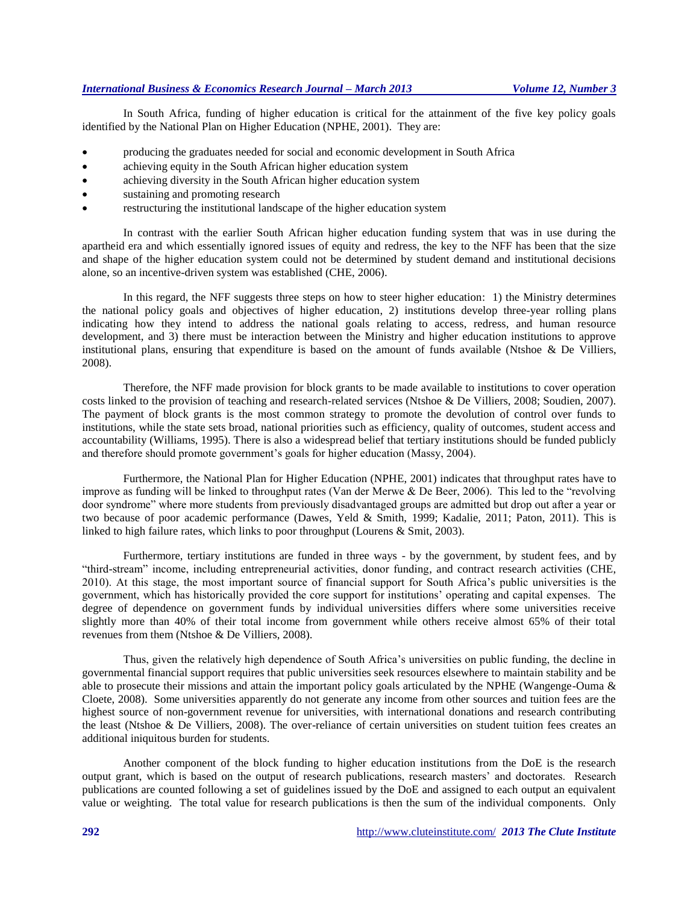In South Africa, funding of higher education is critical for the attainment of the five key policy goals identified by the National Plan on Higher Education (NPHE, 2001). They are:

- producing the graduates needed for social and economic development in South Africa
- achieving equity in the South African higher education system
- achieving diversity in the South African higher education system
- sustaining and promoting research
- restructuring the institutional landscape of the higher education system

In contrast with the earlier South African higher education funding system that was in use during the apartheid era and which essentially ignored issues of equity and redress, the key to the NFF has been that the size and shape of the higher education system could not be determined by student demand and institutional decisions alone, so an incentive-driven system was established (CHE, 2006).

In this regard, the NFF suggests three steps on how to steer higher education: 1) the Ministry determines the national policy goals and objectives of higher education, 2) institutions develop three-year rolling plans indicating how they intend to address the national goals relating to access, redress, and human resource development, and 3) there must be interaction between the Ministry and higher education institutions to approve institutional plans, ensuring that expenditure is based on the amount of funds available (Ntshoe & De Villiers, 2008).

Therefore, the NFF made provision for block grants to be made available to institutions to cover operation costs linked to the provision of teaching and research-related services (Ntshoe & De Villiers, 2008; Soudien, 2007). The payment of block grants is the most common strategy to promote the devolution of control over funds to institutions, while the state sets broad, national priorities such as efficiency, quality of outcomes, student access and accountability (Williams, 1995). There is also a widespread belief that tertiary institutions should be funded publicly and therefore should promote government's goals for higher education (Massy, 2004).

Furthermore, the National Plan for Higher Education (NPHE, 2001) indicates that throughput rates have to improve as funding will be linked to throughput rates (Van der Merwe & De Beer, 2006). This led to the "revolving door syndrome" where more students from previously disadvantaged groups are admitted but drop out after a year or two because of poor academic performance (Dawes, Yeld & Smith, 1999; Kadalie, 2011; Paton, 2011). This is linked to high failure rates, which links to poor throughput (Lourens & Smit, 2003).

Furthermore, tertiary institutions are funded in three ways - by the government, by student fees, and by "third-stream" income, including entrepreneurial activities, donor funding, and contract research activities (CHE, 2010). At this stage, the most important source of financial support for South Africa's public universities is the government, which has historically provided the core support for institutions' operating and capital expenses. The degree of dependence on government funds by individual universities differs where some universities receive slightly more than 40% of their total income from government while others receive almost 65% of their total revenues from them (Ntshoe & De Villiers, 2008).

Thus, given the relatively high dependence of South Africa's universities on public funding, the decline in governmental financial support requires that public universities seek resources elsewhere to maintain stability and be able to prosecute their missions and attain the important policy goals articulated by the NPHE (Wangenge-Ouma & Cloete, 2008). Some universities apparently do not generate any income from other sources and tuition fees are the highest source of non-government revenue for universities, with international donations and research contributing the least (Ntshoe & De Villiers, 2008). The over-reliance of certain universities on student tuition fees creates an additional iniquitous burden for students.

Another component of the block funding to higher education institutions from the DoE is the research output grant, which is based on the output of research publications, research masters' and doctorates. Research publications are counted following a set of guidelines issued by the DoE and assigned to each output an equivalent value or weighting. The total value for research publications is then the sum of the individual components. Only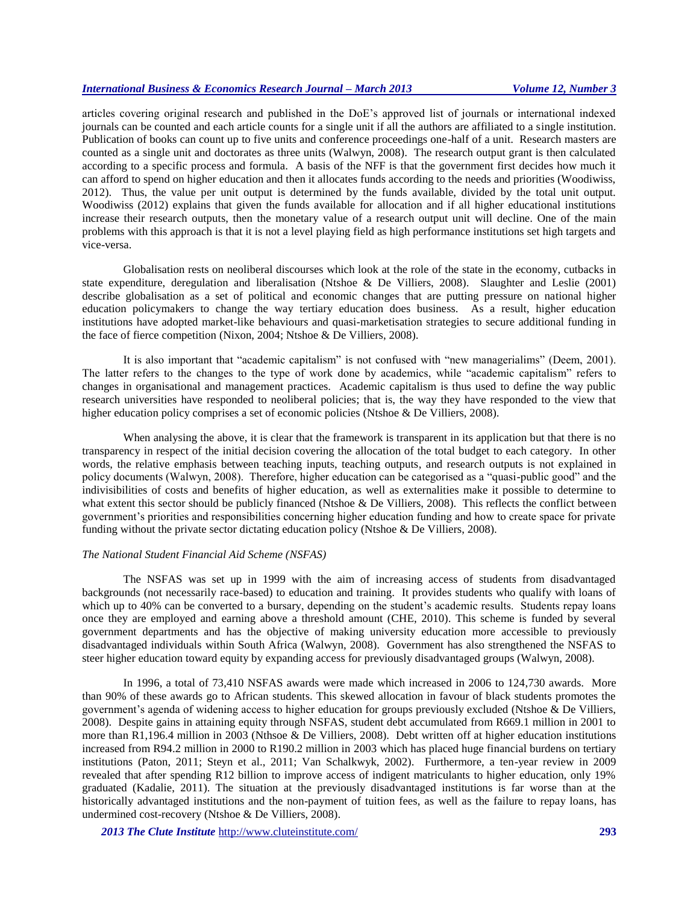articles covering original research and published in the DoE's approved list of journals or international indexed journals can be counted and each article counts for a single unit if all the authors are affiliated to a single institution. Publication of books can count up to five units and conference proceedings one-half of a unit. Research masters are counted as a single unit and doctorates as three units (Walwyn, 2008). The research output grant is then calculated according to a specific process and formula. A basis of the NFF is that the government first decides how much it can afford to spend on higher education and then it allocates funds according to the needs and priorities (Woodiwiss, 2012). Thus, the value per unit output is determined by the funds available, divided by the total unit output. Woodiwiss (2012) explains that given the funds available for allocation and if all higher educational institutions increase their research outputs, then the monetary value of a research output unit will decline. One of the main problems with this approach is that it is not a level playing field as high performance institutions set high targets and vice-versa.

Globalisation rests on neoliberal discourses which look at the role of the state in the economy, cutbacks in state expenditure, deregulation and liberalisation (Ntshoe & De Villiers, 2008). Slaughter and Leslie (2001) describe globalisation as a set of political and economic changes that are putting pressure on national higher education policymakers to change the way tertiary education does business. As a result, higher education institutions have adopted market-like behaviours and quasi-marketisation strategies to secure additional funding in the face of fierce competition (Nixon, 2004; Ntshoe & De Villiers, 2008).

It is also important that "academic capitalism" is not confused with "new managerialims" (Deem, 2001). The latter refers to the changes to the type of work done by academics, while "academic capitalism" refers to changes in organisational and management practices. Academic capitalism is thus used to define the way public research universities have responded to neoliberal policies; that is, the way they have responded to the view that higher education policy comprises a set of economic policies (Ntshoe & De Villiers, 2008).

When analysing the above, it is clear that the framework is transparent in its application but that there is no transparency in respect of the initial decision covering the allocation of the total budget to each category. In other words, the relative emphasis between teaching inputs, teaching outputs, and research outputs is not explained in policy documents (Walwyn, 2008). Therefore, higher education can be categorised as a "quasi-public good" and the indivisibilities of costs and benefits of higher education, as well as externalities make it possible to determine to what extent this sector should be publicly financed (Ntshoe & De Villiers, 2008). This reflects the conflict between government's priorities and responsibilities concerning higher education funding and how to create space for private funding without the private sector dictating education policy (Ntshoe & De Villiers, 2008).

#### *The National Student Financial Aid Scheme (NSFAS)*

The NSFAS was set up in 1999 with the aim of increasing access of students from disadvantaged backgrounds (not necessarily race-based) to education and training. It provides students who qualify with loans of which up to 40% can be converted to a bursary, depending on the student's academic results. Students repay loans once they are employed and earning above a threshold amount (CHE, 2010). This scheme is funded by several government departments and has the objective of making university education more accessible to previously disadvantaged individuals within South Africa (Walwyn, 2008). Government has also strengthened the NSFAS to steer higher education toward equity by expanding access for previously disadvantaged groups (Walwyn, 2008).

In 1996, a total of 73,410 NSFAS awards were made which increased in 2006 to 124,730 awards. More than 90% of these awards go to African students. This skewed allocation in favour of black students promotes the government's agenda of widening access to higher education for groups previously excluded (Ntshoe & De Villiers, 2008). Despite gains in attaining equity through NSFAS, student debt accumulated from R669.1 million in 2001 to more than R1,196.4 million in 2003 (Nthsoe & De Villiers, 2008). Debt written off at higher education institutions increased from R94.2 million in 2000 to R190.2 million in 2003 which has placed huge financial burdens on tertiary institutions (Paton, 2011; Steyn et al., 2011; Van Schalkwyk, 2002). Furthermore, a ten-year review in 2009 revealed that after spending R12 billion to improve access of indigent matriculants to higher education, only 19% graduated (Kadalie, 2011). The situation at the previously disadvantaged institutions is far worse than at the historically advantaged institutions and the non-payment of tuition fees, as well as the failure to repay loans, has undermined cost-recovery (Ntshoe & De Villiers, 2008).

*2013 The Clute Institute* <http://www.cluteinstitute.com/> **293**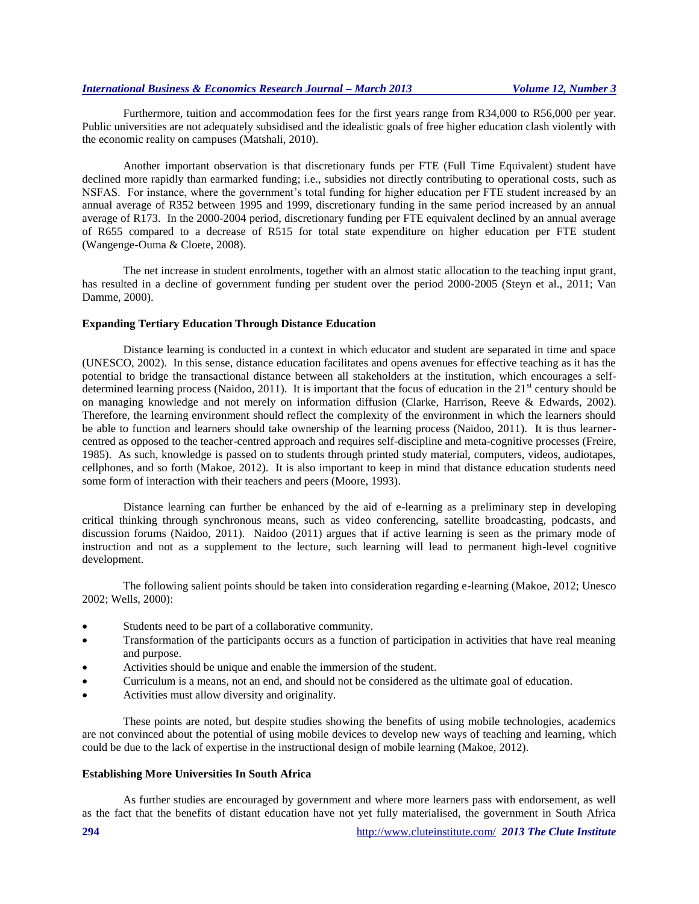Furthermore, tuition and accommodation fees for the first years range from R34,000 to R56,000 per year. Public universities are not adequately subsidised and the idealistic goals of free higher education clash violently with the economic reality on campuses (Matshali, 2010).

Another important observation is that discretionary funds per FTE (Full Time Equivalent) student have declined more rapidly than earmarked funding; i.e., subsidies not directly contributing to operational costs, such as NSFAS. For instance, where the government's total funding for higher education per FTE student increased by an annual average of R352 between 1995 and 1999, discretionary funding in the same period increased by an annual average of R173. In the 2000-2004 period, discretionary funding per FTE equivalent declined by an annual average of R655 compared to a decrease of R515 for total state expenditure on higher education per FTE student (Wangenge-Ouma & Cloete, 2008).

The net increase in student enrolments, together with an almost static allocation to the teaching input grant, has resulted in a decline of government funding per student over the period 2000-2005 (Steyn et al., 2011; Van Damme, 2000).

#### **Expanding Tertiary Education Through Distance Education**

Distance learning is conducted in a context in which educator and student are separated in time and space (UNESCO, 2002). In this sense, distance education facilitates and opens avenues for effective teaching as it has the potential to bridge the transactional distance between all stakeholders at the institution, which encourages a selfdetermined learning process (Naidoo, 2011). It is important that the focus of education in the  $21<sup>st</sup>$  century should be on managing knowledge and not merely on information diffusion (Clarke, Harrison, Reeve & Edwards, 2002). Therefore, the learning environment should reflect the complexity of the environment in which the learners should be able to function and learners should take ownership of the learning process (Naidoo, 2011). It is thus learnercentred as opposed to the teacher-centred approach and requires self-discipline and meta-cognitive processes (Freire, 1985). As such, knowledge is passed on to students through printed study material, computers, videos, audiotapes, cellphones, and so forth (Makoe, 2012). It is also important to keep in mind that distance education students need some form of interaction with their teachers and peers (Moore, 1993).

Distance learning can further be enhanced by the aid of e-learning as a preliminary step in developing critical thinking through synchronous means, such as video conferencing, satellite broadcasting, podcasts, and discussion forums (Naidoo, 2011). Naidoo (2011) argues that if active learning is seen as the primary mode of instruction and not as a supplement to the lecture, such learning will lead to permanent high-level cognitive development.

The following salient points should be taken into consideration regarding e-learning (Makoe, 2012; Unesco 2002; Wells, 2000):

- Students need to be part of a collaborative community.
- Transformation of the participants occurs as a function of participation in activities that have real meaning and purpose.
- Activities should be unique and enable the immersion of the student.
- Curriculum is a means, not an end, and should not be considered as the ultimate goal of education.
- Activities must allow diversity and originality.

These points are noted, but despite studies showing the benefits of using mobile technologies, academics are not convinced about the potential of using mobile devices to develop new ways of teaching and learning, which could be due to the lack of expertise in the instructional design of mobile learning (Makoe, 2012).

#### **Establishing More Universities In South Africa**

As further studies are encouraged by government and where more learners pass with endorsement, as well as the fact that the benefits of distant education have not yet fully materialised, the government in South Africa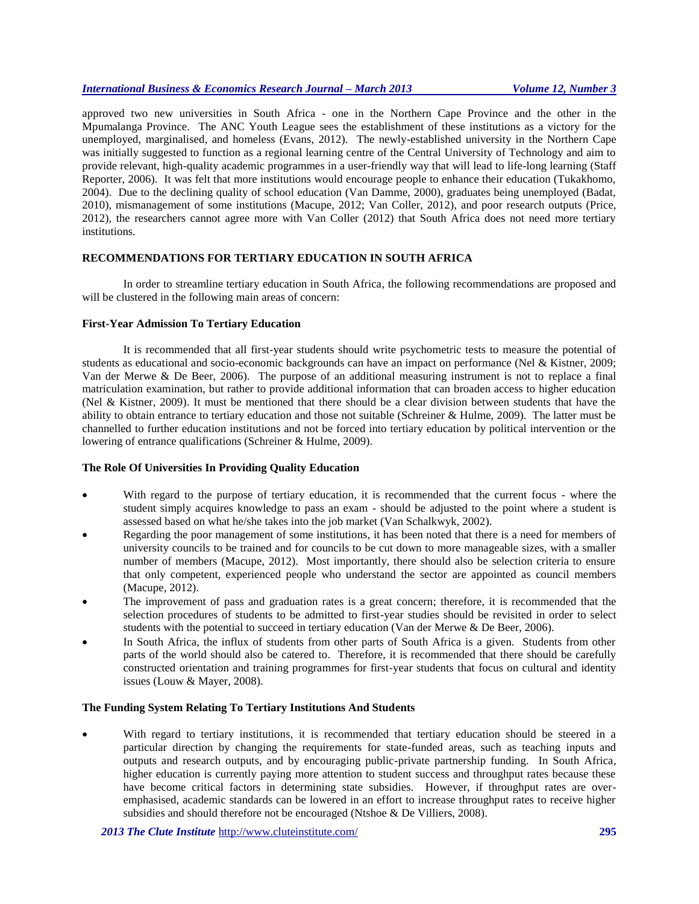approved two new universities in South Africa - one in the Northern Cape Province and the other in the Mpumalanga Province. The ANC Youth League sees the establishment of these institutions as a victory for the unemployed, marginalised, and homeless (Evans, 2012). The newly-established university in the Northern Cape was initially suggested to function as a regional learning centre of the Central University of Technology and aim to provide relevant, high-quality academic programmes in a user-friendly way that will lead to life-long learning (Staff Reporter, 2006). It was felt that more institutions would encourage people to enhance their education (Tukakhomo, 2004). Due to the declining quality of school education (Van Damme, 2000), graduates being unemployed (Badat, 2010), mismanagement of some institutions (Macupe, 2012; Van Coller, 2012), and poor research outputs (Price, 2012), the researchers cannot agree more with Van Coller (2012) that South Africa does not need more tertiary institutions.

# **RECOMMENDATIONS FOR TERTIARY EDUCATION IN SOUTH AFRICA**

In order to streamline tertiary education in South Africa, the following recommendations are proposed and will be clustered in the following main areas of concern:

## **First-Year Admission To Tertiary Education**

It is recommended that all first-year students should write psychometric tests to measure the potential of students as educational and socio-economic backgrounds can have an impact on performance (Nel & Kistner, 2009; Van der Merwe & De Beer, 2006). The purpose of an additional measuring instrument is not to replace a final matriculation examination, but rather to provide additional information that can broaden access to higher education (Nel & Kistner, 2009). It must be mentioned that there should be a clear division between students that have the ability to obtain entrance to tertiary education and those not suitable (Schreiner & Hulme, 2009). The latter must be channelled to further education institutions and not be forced into tertiary education by political intervention or the lowering of entrance qualifications (Schreiner & Hulme, 2009).

## **The Role Of Universities In Providing Quality Education**

- With regard to the purpose of tertiary education, it is recommended that the current focus where the student simply acquires knowledge to pass an exam - should be adjusted to the point where a student is assessed based on what he/she takes into the job market (Van Schalkwyk, 2002).
- Regarding the poor management of some institutions, it has been noted that there is a need for members of university councils to be trained and for councils to be cut down to more manageable sizes, with a smaller number of members (Macupe, 2012). Most importantly, there should also be selection criteria to ensure that only competent, experienced people who understand the sector are appointed as council members (Macupe, 2012).
- The improvement of pass and graduation rates is a great concern; therefore, it is recommended that the selection procedures of students to be admitted to first-year studies should be revisited in order to select students with the potential to succeed in tertiary education (Van der Merwe & De Beer, 2006).
- In South Africa, the influx of students from other parts of South Africa is a given. Students from other parts of the world should also be catered to. Therefore, it is recommended that there should be carefully constructed orientation and training programmes for first-year students that focus on cultural and identity issues (Louw & Mayer, 2008).

## **The Funding System Relating To Tertiary Institutions And Students**

 With regard to tertiary institutions, it is recommended that tertiary education should be steered in a particular direction by changing the requirements for state-funded areas, such as teaching inputs and outputs and research outputs, and by encouraging public-private partnership funding. In South Africa, higher education is currently paying more attention to student success and throughput rates because these have become critical factors in determining state subsidies. However, if throughput rates are overemphasised, academic standards can be lowered in an effort to increase throughput rates to receive higher subsidies and should therefore not be encouraged (Ntshoe & De Villiers, 2008).

*2013 The Clute Institute* <http://www.cluteinstitute.com/> **295**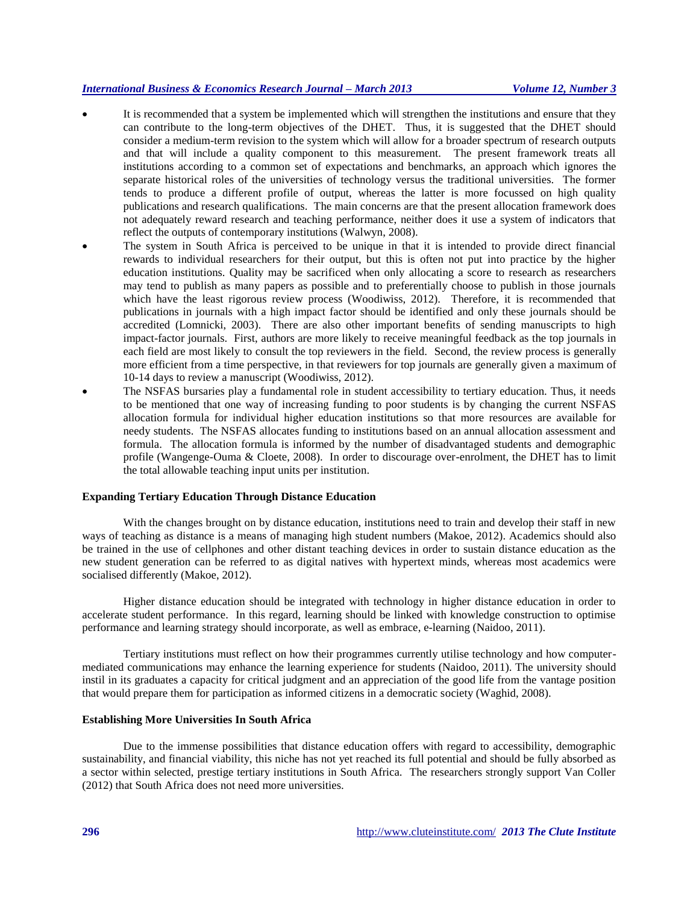- It is recommended that a system be implemented which will strengthen the institutions and ensure that they can contribute to the long-term objectives of the DHET. Thus, it is suggested that the DHET should consider a medium-term revision to the system which will allow for a broader spectrum of research outputs and that will include a quality component to this measurement. The present framework treats all institutions according to a common set of expectations and benchmarks, an approach which ignores the separate historical roles of the universities of technology versus the traditional universities. The former tends to produce a different profile of output, whereas the latter is more focussed on high quality publications and research qualifications. The main concerns are that the present allocation framework does not adequately reward research and teaching performance, neither does it use a system of indicators that reflect the outputs of contemporary institutions (Walwyn, 2008).
- The system in South Africa is perceived to be unique in that it is intended to provide direct financial rewards to individual researchers for their output, but this is often not put into practice by the higher education institutions. Quality may be sacrificed when only allocating a score to research as researchers may tend to publish as many papers as possible and to preferentially choose to publish in those journals which have the least rigorous review process (Woodiwiss, 2012). Therefore, it is recommended that publications in journals with a high impact factor should be identified and only these journals should be accredited (Lomnicki, 2003). There are also other important benefits of sending manuscripts to high impact-factor journals. First, authors are more likely to receive meaningful feedback as the top journals in each field are most likely to consult the top reviewers in the field. Second, the review process is generally more efficient from a time perspective, in that reviewers for top journals are generally given a maximum of 10-14 days to review a manuscript (Woodiwiss, 2012).
- The NSFAS bursaries play a fundamental role in student accessibility to tertiary education. Thus, it needs to be mentioned that one way of increasing funding to poor students is by changing the current NSFAS allocation formula for individual higher education institutions so that more resources are available for needy students. The NSFAS allocates funding to institutions based on an annual allocation assessment and formula. The allocation formula is informed by the number of disadvantaged students and demographic profile (Wangenge-Ouma & Cloete, 2008). In order to discourage over-enrolment, the DHET has to limit the total allowable teaching input units per institution.

## **Expanding Tertiary Education Through Distance Education**

With the changes brought on by distance education, institutions need to train and develop their staff in new ways of teaching as distance is a means of managing high student numbers (Makoe, 2012). Academics should also be trained in the use of cellphones and other distant teaching devices in order to sustain distance education as the new student generation can be referred to as digital natives with hypertext minds, whereas most academics were socialised differently (Makoe, 2012).

Higher distance education should be integrated with technology in higher distance education in order to accelerate student performance. In this regard, learning should be linked with knowledge construction to optimise performance and learning strategy should incorporate, as well as embrace, e-learning (Naidoo, 2011).

Tertiary institutions must reflect on how their programmes currently utilise technology and how computermediated communications may enhance the learning experience for students (Naidoo, 2011). The university should instil in its graduates a capacity for critical judgment and an appreciation of the good life from the vantage position that would prepare them for participation as informed citizens in a democratic society (Waghid, 2008).

### **Establishing More Universities In South Africa**

Due to the immense possibilities that distance education offers with regard to accessibility, demographic sustainability, and financial viability, this niche has not yet reached its full potential and should be fully absorbed as a sector within selected, prestige tertiary institutions in South Africa. The researchers strongly support Van Coller (2012) that South Africa does not need more universities.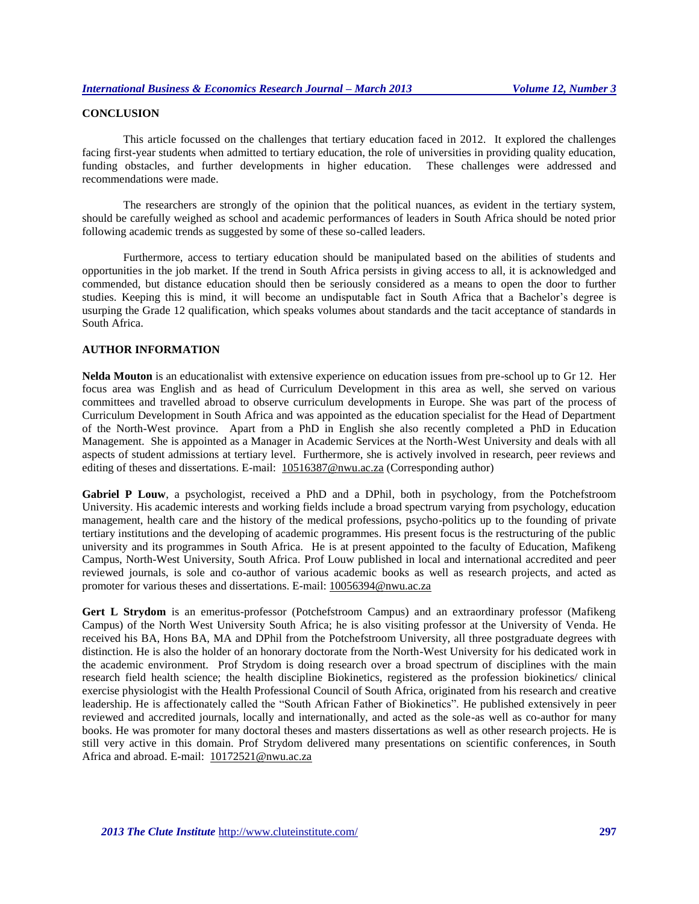# **CONCLUSION**

This article focussed on the challenges that tertiary education faced in 2012. It explored the challenges facing first-year students when admitted to tertiary education, the role of universities in providing quality education, funding obstacles, and further developments in higher education. These challenges were addressed and recommendations were made.

The researchers are strongly of the opinion that the political nuances, as evident in the tertiary system, should be carefully weighed as school and academic performances of leaders in South Africa should be noted prior following academic trends as suggested by some of these so-called leaders.

Furthermore, access to tertiary education should be manipulated based on the abilities of students and opportunities in the job market. If the trend in South Africa persists in giving access to all, it is acknowledged and commended, but distance education should then be seriously considered as a means to open the door to further studies. Keeping this is mind, it will become an undisputable fact in South Africa that a Bachelor's degree is usurping the Grade 12 qualification, which speaks volumes about standards and the tacit acceptance of standards in South Africa.

## **AUTHOR INFORMATION**

**Nelda Mouton** is an educationalist with extensive experience on education issues from pre-school up to Gr 12. Her focus area was English and as head of Curriculum Development in this area as well, she served on various committees and travelled abroad to observe curriculum developments in Europe. She was part of the process of Curriculum Development in South Africa and was appointed as the education specialist for the Head of Department of the North-West province. Apart from a PhD in English she also recently completed a PhD in Education Management. She is appointed as a Manager in Academic Services at the North-West University and deals with all aspects of student admissions at tertiary level. Furthermore, she is actively involved in research, peer reviews and editing of theses and dissertations. E-mail:  $10516387@nwu.ac.za$  (Corresponding author)

**Gabriel P Louw**, a psychologist, received a PhD and a DPhil, both in psychology, from the Potchefstroom University. His academic interests and working fields include a broad spectrum varying from psychology, education management, health care and the history of the medical professions, psycho-politics up to the founding of private tertiary institutions and the developing of academic programmes. His present focus is the restructuring of the public university and its programmes in South Africa. He is at present appointed to the faculty of Education, Mafikeng Campus, North-West University, South Africa. Prof Louw published in local and international accredited and peer reviewed journals, is sole and co-author of various academic books as well as research projects, and acted as promoter for various theses and dissertations. E-mail[: 10056394@nwu.ac.za](mailto:10056394@nwu.ac.za)

**Gert L Strydom** is an emeritus-professor (Potchefstroom Campus) and an extraordinary professor (Mafikeng Campus) of the North West University South Africa; he is also visiting professor at the University of Venda. He received his BA, Hons BA, MA and DPhil from the Potchefstroom University, all three postgraduate degrees with distinction. He is also the holder of an honorary doctorate from the North-West University for his dedicated work in the academic environment. Prof Strydom is doing research over a broad spectrum of disciplines with the main research field health science; the health discipline Biokinetics, registered as the profession biokinetics/ clinical exercise physiologist with the Health Professional Council of South Africa, originated from his research and creative leadership. He is affectionately called the "South African Father of Biokinetics". He published extensively in peer reviewed and accredited journals, locally and internationally, and acted as the sole-as well as co-author for many books. He was promoter for many doctoral theses and masters dissertations as well as other research projects. He is still very active in this domain. Prof Strydom delivered many presentations on scientific conferences, in South Africa and abroad. E-mail: [10172521@nwu.ac.za](mailto:10172521@nwu.ac.za)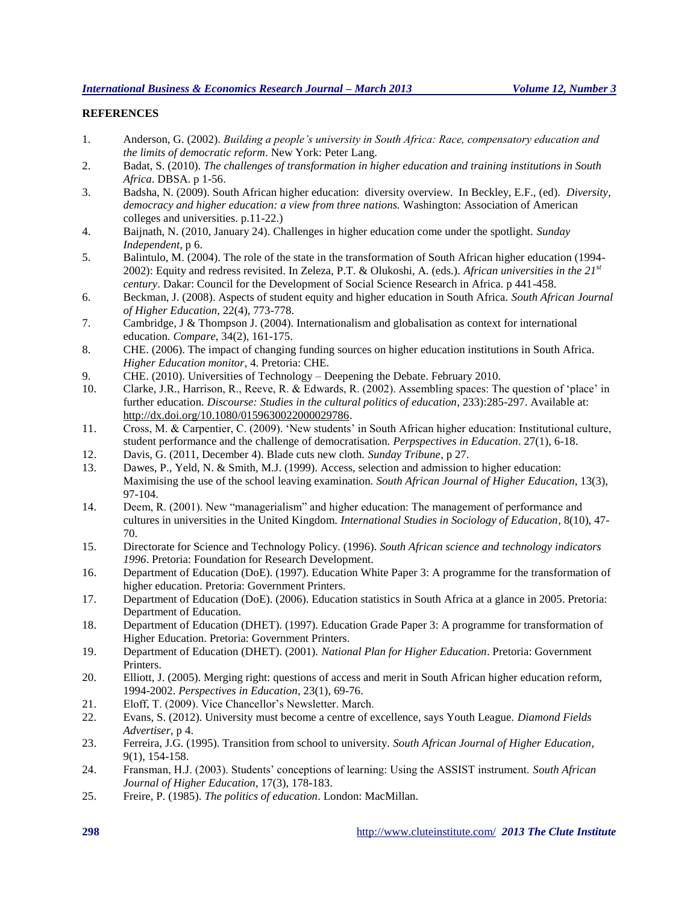# **REFERENCES**

- 1. Anderson, G. (2002). *Building a people's university in South Africa: Race, compensatory education and the limits of democratic reform*. New York: Peter Lang.
- 2. Badat, S. (2010). *The challenges of transformation in higher education and training institutions in South Africa*. DBSA. p 1-56.
- 3. Badsha, N. (2009). South African higher education: diversity overview. In Beckley, E.F., (ed). *Diversity, democracy and higher education: a view from three nations.* Washington: Association of American colleges and universities. p.11-22.)
- 4. Baijnath, N. (2010, January 24). Challenges in higher education come under the spotlight. *Sunday Independent*, p 6.
- 5. Balintulo, M. (2004). The role of the state in the transformation of South African higher education (1994- 2002): Equity and redress revisited. In Zeleza, P.T. & Olukoshi, A. (eds.). *African universities in the 21st century*. Dakar: Council for the Development of Social Science Research in Africa. p 441-458.
- 6. Beckman, J. (2008). Aspects of student equity and higher education in South Africa. *South African Journal of Higher Education*, 22(4), 773-778.
- 7. Cambridge, J & Thompson J. (2004). Internationalism and globalisation as context for international education. *Compare*, 34(2), 161-175.
- 8. CHE. (2006). The impact of changing funding sources on higher education institutions in South Africa. *Higher Education monitor*, 4. Pretoria: CHE.
- 9. CHE. (2010). Universities of Technology Deepening the Debate. February 2010.
- 10. Clarke, J.R., Harrison, R., Reeve, R. & Edwards, R. (2002). Assembling spaces: The question of 'place' in further education. *Discourse: Studies in the cultural politics of education*, 233):285-297. Available at: [http://dx.doi.org/10.1080/0159630022000029786.](http://dx.doi.org/10.1080/0159630022000029786)
- 11. Cross, M. & Carpentier, C. (2009). 'New students' in South African higher education: Institutional culture, student performance and the challenge of democratisation. *Perpspectives in Education*. 27(1), 6-18.
- 12. Davis, G. (2011, December 4). Blade cuts new cloth. *Sunday Tribune*, p 27.
- 13. Dawes, P., Yeld, N. & Smith, M.J. (1999). Access, selection and admission to higher education: Maximising the use of the school leaving examination. *South African Journal of Higher Education*, 13(3), 97-104.
- 14. Deem, R. (2001). New "managerialism" and higher education: The management of performance and cultures in universities in the United Kingdom. *International Studies in Sociology of Education*, 8(10), 47- 70.
- 15. Directorate for Science and Technology Policy. (1996). *South African science and technology indicators 1996*. Pretoria: Foundation for Research Development.
- 16. Department of Education (DoE). (1997). Education White Paper 3: A programme for the transformation of higher education. Pretoria: Government Printers.
- 17. Department of Education (DoE). (2006). Education statistics in South Africa at a glance in 2005. Pretoria: Department of Education.
- 18. Department of Education (DHET). (1997). Education Grade Paper 3: A programme for transformation of Higher Education. Pretoria: Government Printers.
- 19. Department of Education (DHET). (2001). *National Plan for Higher Education*. Pretoria: Government Printers.
- 20. Elliott, J. (2005). Merging right: questions of access and merit in South African higher education reform, 1994-2002. *Perspectives in Education*, 23(1), 69-76.
- 21. Eloff, T. (2009). Vice Chancellor's Newsletter. March.
- 22. Evans, S. (2012). University must become a centre of excellence, says Youth League. *Diamond Fields Advertiser*, p 4.
- 23. Ferreira, J.G. (1995). Transition from school to university. *South African Journal of Higher Education*, 9(1), 154-158.
- 24. Fransman, H.J. (2003). Students' conceptions of learning: Using the ASSIST instrument. *South African Journal of Higher Education*, 17(3), 178-183.
- 25. Freire, P. (1985). *The politics of education*. London: MacMillan.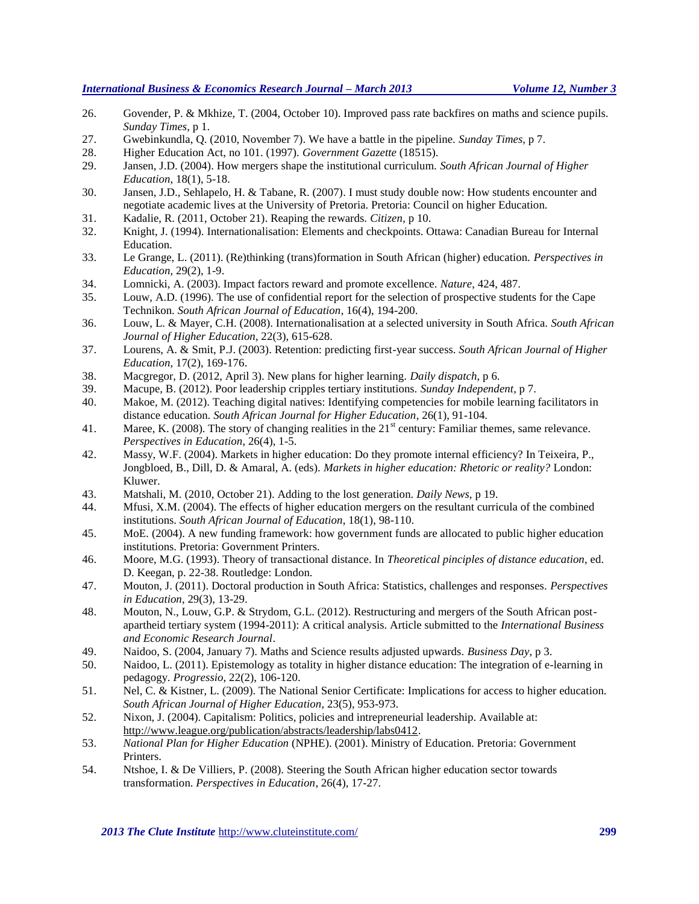- 26. Govender, P. & Mkhize, T. (2004, October 10). Improved pass rate backfires on maths and science pupils. *Sunday Times*, p 1.
- 27. Gwebinkundla, Q. (2010, November 7). We have a battle in the pipeline. *Sunday Times*, p 7.
- 28. Higher Education Act, no 101. (1997). *Government Gazette* (18515).
- 29. Jansen, J.D. (2004). How mergers shape the institutional curriculum. *South African Journal of Higher Education*, 18(1), 5-18.
- 30. Jansen, J.D., Sehlapelo, H. & Tabane, R. (2007). I must study double now: How students encounter and negotiate academic lives at the University of Pretoria. Pretoria: Council on higher Education.
- 31. Kadalie, R. (2011, October 21). Reaping the rewards. *Citizen*, p 10.
- 32. Knight, J. (1994). Internationalisation: Elements and checkpoints. Ottawa: Canadian Bureau for Internal Education.
- 33. Le Grange, L. (2011). (Re)thinking (trans)formation in South African (higher) education. *Perspectives in Education*, 29(2), 1-9.
- 34. Lomnicki, A. (2003). Impact factors reward and promote excellence. *Nature*, 424, 487.
- 35. Louw, A.D. (1996). The use of confidential report for the selection of prospective students for the Cape Technikon. *South African Journal of Education*, 16(4), 194-200.
- 36. Louw, L. & Mayer, C.H. (2008). Internationalisation at a selected university in South Africa. *South African Journal of Higher Education*, 22(3), 615-628.
- 37. Lourens, A. & Smit, P.J. (2003). Retention: predicting first-year success. *South African Journal of Higher Education*, 17(2), 169-176.
- 38. Macgregor, D. (2012, April 3). New plans for higher learning. *Daily dispatch*, p 6.
- 39. Macupe, B. (2012). Poor leadership cripples tertiary institutions. *Sunday Independent*, p 7.
- 40. Makoe, M. (2012). Teaching digital natives: Identifying competencies for mobile learning facilitators in distance education. *South African Journal for Higher Education*, 26(1), 91-104.
- 41. Maree, K. (2008). The story of changing realities in the  $21<sup>st</sup>$  century: Familiar themes, same relevance. *Perspectives in Education*, 26(4), 1-5.
- 42. Massy, W.F. (2004). Markets in higher education: Do they promote internal efficiency? In Teixeira, P., Jongbloed, B., Dill, D. & Amaral, A. (eds). *Markets in higher education: Rhetoric or reality?* London: Kluwer.
- 43. Matshali, M. (2010, October 21). Adding to the lost generation. *Daily News*, p 19.
- 44. Mfusi, X.M. (2004). The effects of higher education mergers on the resultant curricula of the combined institutions. *South African Journal of Education*, 18(1), 98-110.
- 45. MoE. (2004). A new funding framework: how government funds are allocated to public higher education institutions. Pretoria: Government Printers.
- 46. Moore, M.G. (1993). Theory of transactional distance. In *Theoretical pinciples of distance education*, ed. D. Keegan, p. 22-38. Routledge: London.
- 47. Mouton, J. (2011). Doctoral production in South Africa: Statistics, challenges and responses. *Perspectives in Education*, 29(3), 13-29.
- 48. Mouton, N., Louw, G.P. & Strydom, G.L. (2012). Restructuring and mergers of the South African postapartheid tertiary system (1994-2011): A critical analysis. Article submitted to the *International Business and Economic Research Journal*.
- 49. Naidoo, S. (2004, January 7). Maths and Science results adjusted upwards. *Business Day*, p 3.
- 50. Naidoo, L. (2011). Epistemology as totality in higher distance education: The integration of e-learning in pedagogy. *Progressio*, 22(2), 106-120.
- 51. Nel, C. & Kistner, L. (2009). The National Senior Certificate: Implications for access to higher education. *South African Journal of Higher Education*, 23(5), 953-973.
- 52. Nixon, J. (2004). Capitalism: Politics, policies and intrepreneurial leadership. Available at: [http://www.league.org/publication/abstracts/leadership/labs0412.](http://www.league.org/publication/abstracts/leadership/labs0412)
- 53. *National Plan for Higher Education* (NPHE). (2001). Ministry of Education. Pretoria: Government Printers.
- 54. Ntshoe, I. & De Villiers, P. (2008). Steering the South African higher education sector towards transformation. *Perspectives in Education*, 26(4), 17-27.